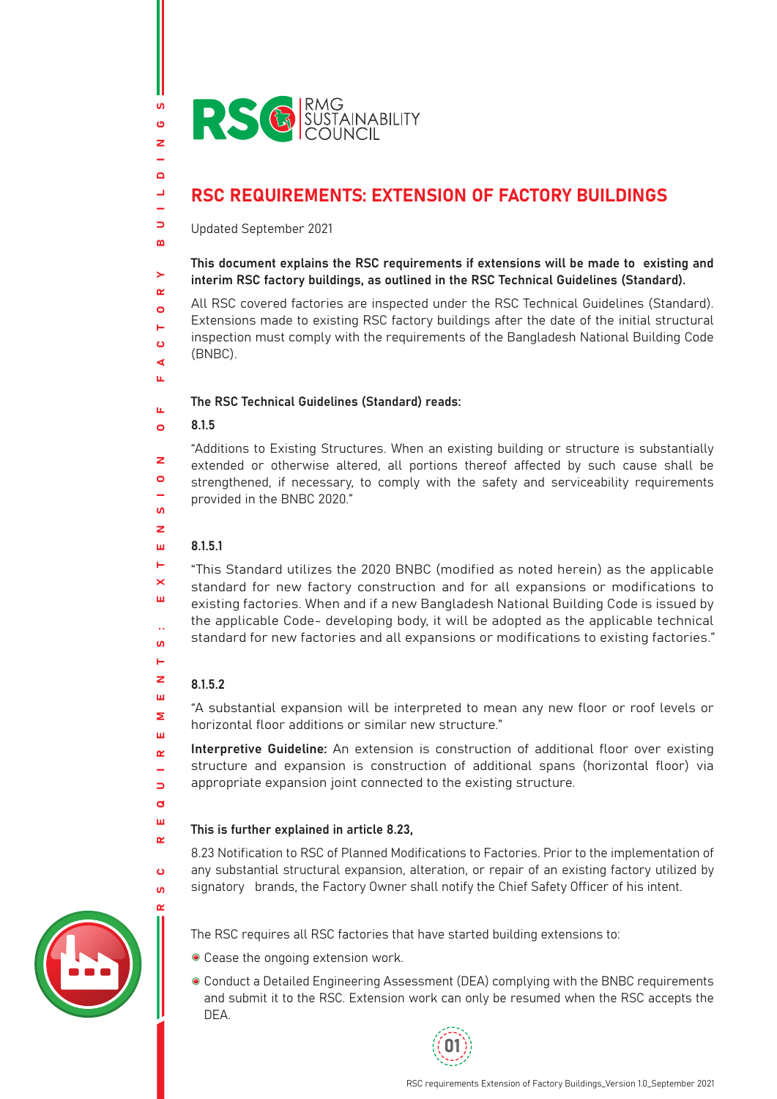

# RSC REQUIREMENTS: EXTENSION OF FACTORY BUILDINGS

Updated September 2021

This document explains the RSC requirements if extensions will be made to existing and interim RSC factory buildings, as outlined in the RSC Technical Guidelines (Standard).

All RSC covered factories are inspected under the RSC Technical Guidelines (Standard). Extensions made to existing RSC factory buildings after the date of the initial structural inspection must comply with the requirements of the Bangladesh National Building Code (BNBC).

### The RSC Technical Guidelines (Standard) reads:

#### 8.1.5  $\bullet$

 $\mathbf{v}$ ් z

 $\Box$  $\mathbf{r}$ L.  $\Rightarrow$  $\mathbf{m}$ 

 $\geq$  $\sim$  $\Omega$  $\blacksquare$  $\mathbf{o}$  $\blacktriangleleft$ u.

u.

 $\geq$  $\bullet$ 

 $\mathbf{u}$  $\overline{z}$ 

н  $\overline{\mathbf{x}}$ ш

Ŀ.  $\mathbf{u}$ H  $\overline{z}$ ш  $\overline{\mathbf{z}}$ Ш  $\alpha$ 

 $\Box$  $\mathbf{d}$ ш  $\alpha$ 

 $\ddot{\mathbf{c}}$  $\mathbf{u}$  "Additions to Existing Structures. When an existing building or structure is substantially extended or otherwise altered, all portions thereof affected by such cause shall be strengthened, if necessary, to comply with the safety and serviceability requirements provided in the BNBC 2020."

#### 8.1.5.1 ш

"This Standard utilizes the 2020 BNBC (modified as noted herein) as the applicable standard for new factory construction and for all expansions or modifications to existing factories. When and if a new Bangladesh National Building Code is issued by the applicable Code- developing body, it will be adopted as the applicable technical standard for new factories and all expansions or modifications to existing factories."

# 8.1.5.2

"A substantial expansion will be interpreted to mean any new floor or roof levels or horizontal floor additions or similar new structure."

Interpretive Guideline: An extension is construction of additional floor over existing structure and expansion is construction of additional spans (horizontal floor) via appropriate expansion joint connected to the existing structure.

# This is further explained in article 8.23,

8.23 Notification to RSC of Planned Modifications to Factories. Prior to the implementation of any substantial structural expansion, alteration, or repair of an existing factory utilized by signatory brands, the Factory Owner shall notify the Chief Safety Officer of his intent.



- The RSC requires all RSC factories that have started building extensions to:
- Cease the ongoing extension work.
- Conduct a Detailed Engineering Assessment (DEA) complying with the BNBC requirements and submit it to the RSC. Extension work can only be resumed when the RSC accepts the DEA.